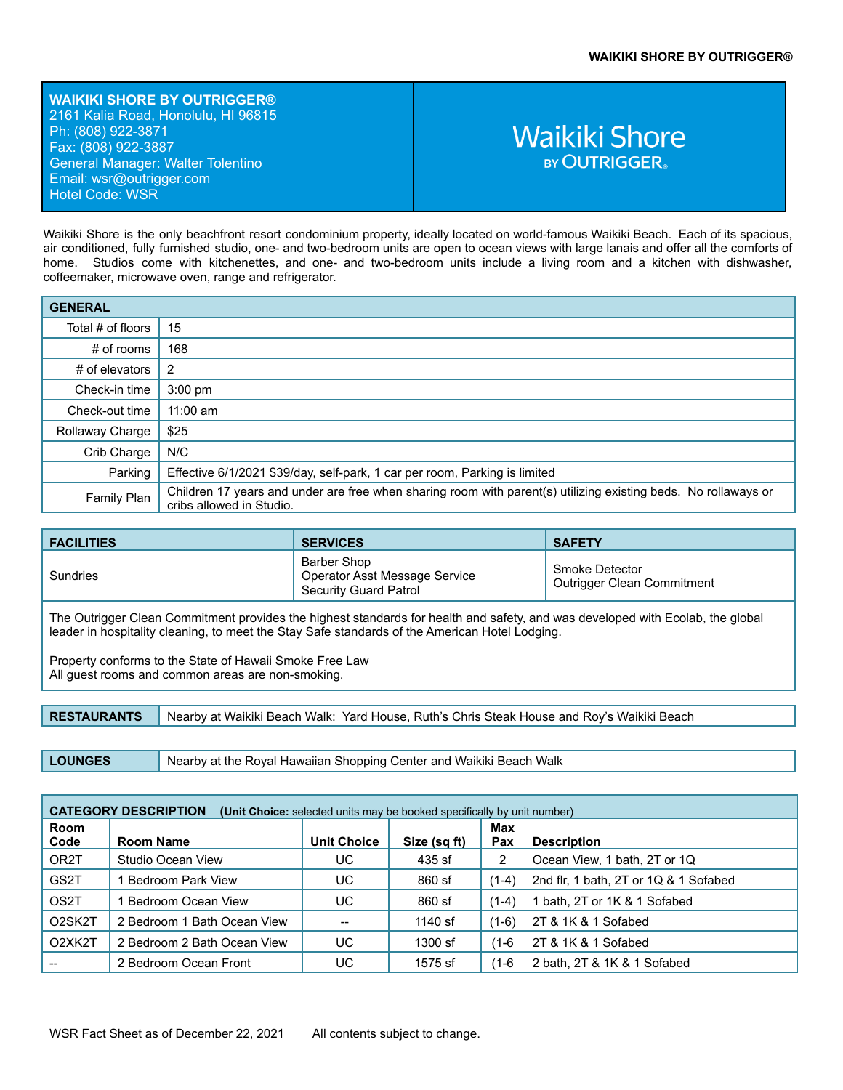**WAIKIKI SHORE BY OUTRIGGER®** 2161 Kalia Road, Honolulu, HI 96815 Ph: (808) 922-3871 Fax: (808) 922-3887 General Manager: Walter Tolentino Email: ws[r@outrigger.com](mailto:orf@outrigger.com) Hotel Code: WSR

## **Waikiki Shore BY OUTRIGGER**

Waikiki Shore is the only beachfront resort condominium property, ideally located on world-famous Waikiki Beach. Each of its spacious, air conditioned, fully furnished studio, one- and two-bedroom units are open to ocean views with large lanais and offer all the comforts of home. Studios come with kitchenettes, and one- and two-bedroom units include a living room and a kitchen with dishwasher, coffeemaker, microwave oven, range and refrigerator.

| <b>GENERAL</b>    |                                                                                                                                            |
|-------------------|--------------------------------------------------------------------------------------------------------------------------------------------|
| Total # of floors | 15                                                                                                                                         |
| $#$ of rooms      | 168                                                                                                                                        |
| # of elevators    | 2                                                                                                                                          |
| Check-in time     | $3:00$ pm                                                                                                                                  |
| Check-out time    | $11:00$ am                                                                                                                                 |
| Rollaway Charge   | \$25                                                                                                                                       |
| Crib Charge       | N/C                                                                                                                                        |
| Parking           | Effective 6/1/2021 \$39/day, self-park, 1 car per room, Parking is limited                                                                 |
| Family Plan       | Children 17 years and under are free when sharing room with parent(s) utilizing existing beds. No rollaways or<br>cribs allowed in Studio. |

| <b>FACILITIES</b> | <b>SERVICES</b>                                                       | <b>SAFETY</b>                                |
|-------------------|-----------------------------------------------------------------------|----------------------------------------------|
| Sundries          | Barber Shop<br>Operator Asst Message Service<br>Security Guard Patrol | Smoke Detector<br>Outrigger Clean Commitment |

The Outrigger Clean Commitment provides the highest standards for health and safety, and was developed with Ecolab, the global leader in hospitality cleaning, to meet the Stay Safe standards of the American Hotel Lodging.

Property conforms to the State of Hawaii Smoke Free Law All guest rooms and common areas are non-smoking.

**RESTAURANTS** Nearby at Waikiki Beach Walk: Yard House, Ruth's Chris Steak House and Roy's Waikiki Beach

**LOUNGES** Nearby at the Royal Hawaiian Shopping Center and Waikiki Beach Walk

| <b>CATEGORY DESCRIPTION</b><br>(Unit Choice: selected units may be booked specifically by unit number) |                             |                    |              |            |                                       |
|--------------------------------------------------------------------------------------------------------|-----------------------------|--------------------|--------------|------------|---------------------------------------|
| <b>Room</b><br>Code                                                                                    | <b>Room Name</b>            | <b>Unit Choice</b> | Size (sq ft) | Max<br>Pax | <b>Description</b>                    |
| OR <sub>2</sub> T                                                                                      | Studio Ocean View           | UC                 | 435 sf       | 2          | Ocean View, 1 bath, 2T or 1Q          |
| GS <sub>2</sub> T                                                                                      | Bedroom Park View           | UC                 | 860 sf       | $(1-4)$    | 2nd flr, 1 bath, 2T or 1Q & 1 Sofabed |
| OS <sub>2</sub> T                                                                                      | Bedroom Ocean View          | UC                 | 860 sf       | (1-4)      | 1 bath, 2T or 1K & 1 Sofabed          |
| O <sub>2</sub> SK <sub>2</sub> T                                                                       | 2 Bedroom 1 Bath Ocean View |                    | 1140 sf      | $(1-6)$    | 2T & 1K & 1 Sofabed                   |
| O <sub>2</sub> XK <sub>2</sub> T                                                                       | 2 Bedroom 2 Bath Ocean View | UC                 | 1300 sf      | (1-6       | 2T & 1K & 1 Sofabed                   |
|                                                                                                        | 2 Bedroom Ocean Front       | UC                 | 1575 sf      | (1-6       | 2 bath, 2T & 1K & 1 Sofabed           |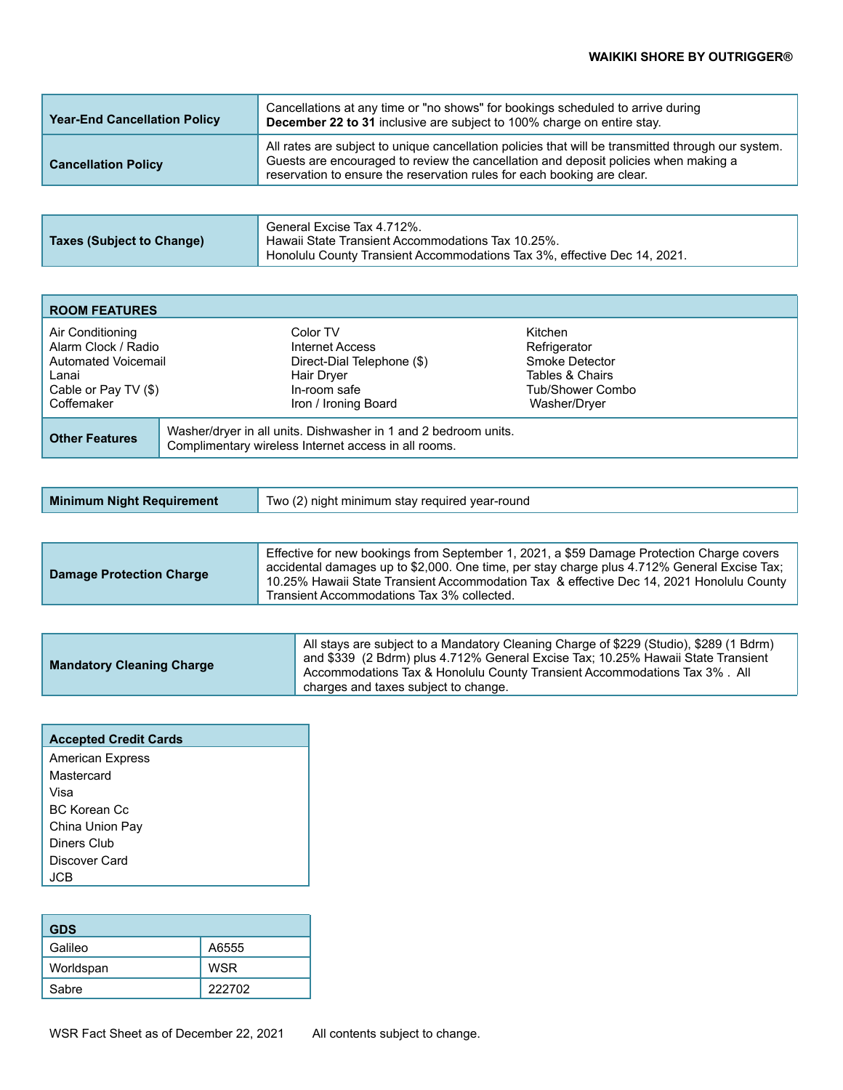| <b>Year-End Cancellation Policy</b> | Cancellations at any time or "no shows" for bookings scheduled to arrive during<br>December 22 to 31 inclusive are subject to 100% charge on entire stay.                                                                                                            |
|-------------------------------------|----------------------------------------------------------------------------------------------------------------------------------------------------------------------------------------------------------------------------------------------------------------------|
| <b>Cancellation Policy</b>          | All rates are subject to unique cancellation policies that will be transmitted through our system.<br>Guests are encouraged to review the cancellation and deposit policies when making a<br>reservation to ensure the reservation rules for each booking are clear. |
|                                     |                                                                                                                                                                                                                                                                      |

| <b>ROOM FEATURES</b>                                                                                          |                                                                                                                         |                                                                                                  |
|---------------------------------------------------------------------------------------------------------------|-------------------------------------------------------------------------------------------------------------------------|--------------------------------------------------------------------------------------------------|
| Air Conditioning<br>Alarm Clock / Radio<br>Automated Voicemail<br>Lanai<br>Cable or Pay TV (\$)<br>Coffemaker | Color TV<br>Internet Access<br>Direct-Dial Telephone (\$)<br>Hair Dryer<br>In-room safe<br>Iron / Ironing Board         | Kitchen<br>Refrigerator<br>Smoke Detector<br>Tables & Chairs<br>Tub/Shower Combo<br>Washer/Dryer |
| <b>Other Features</b>                                                                                         | Washer/dryer in all units. Dishwasher in 1 and 2 bedroom units.<br>Complimentary wireless Internet access in all rooms. |                                                                                                  |

| Minimum Night Requirement | Two (2) night minimum stay required year-round |
|---------------------------|------------------------------------------------|
|---------------------------|------------------------------------------------|

| <b>Damage Protection Charge</b> | Effective for new bookings from September 1, 2021, a \$59 Damage Protection Charge covers<br>accidental damages up to \$2,000. One time, per stay charge plus 4.712% General Excise Tax;<br>10.25% Hawaii State Transient Accommodation Tax & effective Dec 14, 2021 Honolulu County<br>Transient Accommodations Tax 3% collected. |
|---------------------------------|------------------------------------------------------------------------------------------------------------------------------------------------------------------------------------------------------------------------------------------------------------------------------------------------------------------------------------|
|                                 |                                                                                                                                                                                                                                                                                                                                    |

| <b>Mandatory Cleaning Charge</b> | All stays are subject to a Mandatory Cleaning Charge of \$229 (Studio), \$289 (1 Bdrm)<br>and \$339 (2 Bdrm) plus 4.712% General Excise Tax; 10.25% Hawaii State Transient<br>Accommodations Tax & Honolulu County Transient Accommodations Tax 3%. All |
|----------------------------------|---------------------------------------------------------------------------------------------------------------------------------------------------------------------------------------------------------------------------------------------------------|
|                                  | charges and taxes subject to change.                                                                                                                                                                                                                    |

| <b>Accepted Credit Cards</b> |
|------------------------------|
| <b>American Express</b>      |
| Mastercard                   |
| Visa                         |
| BC Korean Cc                 |
| China Union Pay              |
| Diners Club                  |
| Discover Card                |
| .ICB                         |

| <b>GDS</b> |            |
|------------|------------|
| Galileo    | A6555      |
| Worldspan  | <b>WSR</b> |
| Sabre      | 222702     |